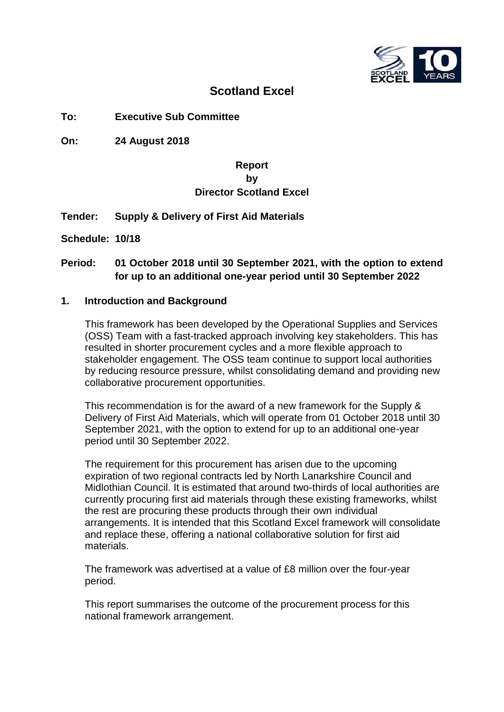

# **Scotland Excel**

**To: Executive Sub Committee**

**On: 24 August 2018**

# **Report by Director Scotland Excel**

## **Tender: Supply & Delivery of First Aid Materials**

**Schedule: 10/18**

# **Period: 01 October 2018 until 30 September 2021, with the option to extend for up to an additional one-year period until 30 September 2022**

### **1. Introduction and Background**

This framework has been developed by the Operational Supplies and Services (OSS) Team with a fast-tracked approach involving key stakeholders. This has resulted in shorter procurement cycles and a more flexible approach to stakeholder engagement. The OSS team continue to support local authorities by reducing resource pressure, whilst consolidating demand and providing new collaborative procurement opportunities.

This recommendation is for the award of a new framework for the Supply & Delivery of First Aid Materials, which will operate from 01 October 2018 until 30 September 2021, with the option to extend for up to an additional one-year period until 30 September 2022.

The requirement for this procurement has arisen due to the upcoming expiration of two regional contracts led by North Lanarkshire Council and Midlothian Council. It is estimated that around two-thirds of local authorities are currently procuring first aid materials through these existing frameworks, whilst the rest are procuring these products through their own individual arrangements. It is intended that this Scotland Excel framework will consolidate and replace these, offering a national collaborative solution for first aid materials.

The framework was advertised at a value of £8 million over the four-year period.

This report summarises the outcome of the procurement process for this national framework arrangement.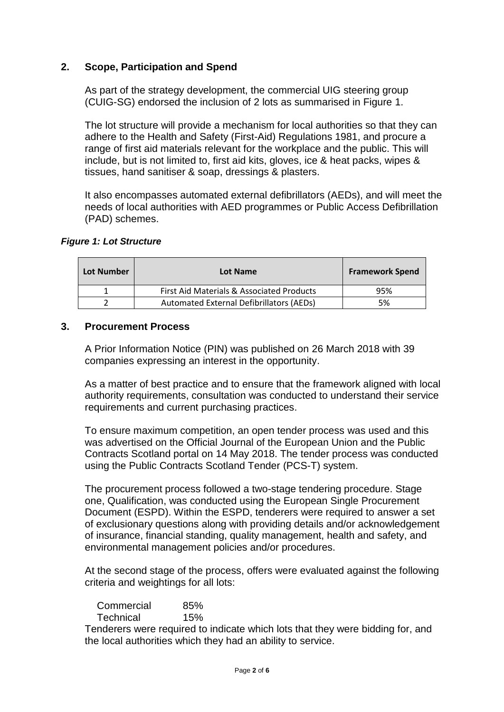# **2. Scope, Participation and Spend**

As part of the strategy development, the commercial UIG steering group (CUIG-SG) endorsed the inclusion of 2 lots as summarised in Figure 1.

The lot structure will provide a mechanism for local authorities so that they can adhere to the Health and Safety (First-Aid) Regulations 1981, and procure a range of first aid materials relevant for the workplace and the public. This will include, but is not limited to, first aid kits, gloves, ice & heat packs, wipes & tissues, hand sanitiser & soap, dressings & plasters.

It also encompasses automated external defibrillators (AEDs), and will meet the needs of local authorities with AED programmes or Public Access Defibrillation (PAD) schemes.

#### *Figure 1: Lot Structure*

| Lot Number | Lot Name                                  | <b>Framework Spend</b> |
|------------|-------------------------------------------|------------------------|
|            | First Aid Materials & Associated Products | 95%                    |
|            | Automated External Defibrillators (AEDs)  | 5%                     |

#### **3. Procurement Process**

A Prior Information Notice (PIN) was published on 26 March 2018 with 39 companies expressing an interest in the opportunity.

As a matter of best practice and to ensure that the framework aligned with local authority requirements, consultation was conducted to understand their service requirements and current purchasing practices.

To ensure maximum competition, an open tender process was used and this was advertised on the Official Journal of the European Union and the Public Contracts Scotland portal on 14 May 2018. The tender process was conducted using the Public Contracts Scotland Tender (PCS-T) system.

The procurement process followed a two-stage tendering procedure. Stage one, Qualification, was conducted using the European Single Procurement Document (ESPD). Within the ESPD, tenderers were required to answer a set of exclusionary questions along with providing details and/or acknowledgement of insurance, financial standing, quality management, health and safety, and environmental management policies and/or procedures.

At the second stage of the process, offers were evaluated against the following criteria and weightings for all lots:

| Commercial       | 85% |
|------------------|-----|
| <b>Technical</b> | 15% |

Tenderers were required to indicate which lots that they were bidding for, and the local authorities which they had an ability to service.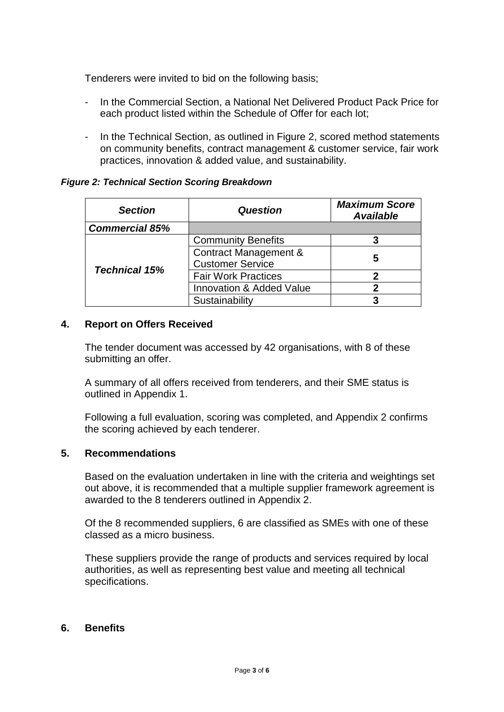Tenderers were invited to bid on the following basis;

- In the Commercial Section, a National Net Delivered Product Pack Price for each product listed within the Schedule of Offer for each lot;
- In the Technical Section, as outlined in Figure 2, scored method statements on community benefits, contract management & customer service, fair work practices, innovation & added value, and sustainability.

### *Figure 2: Technical Section Scoring Breakdown*

| <b>Section</b>        | <b>Question</b>                     | <b>Maximum Score</b><br><b>Available</b> |
|-----------------------|-------------------------------------|------------------------------------------|
| <b>Commercial 85%</b> |                                     |                                          |
|                       | <b>Community Benefits</b>           |                                          |
|                       | Contract Management &               | 5                                        |
| <b>Technical 15%</b>  | <b>Customer Service</b>             |                                          |
|                       | <b>Fair Work Practices</b>          | 2                                        |
|                       | <b>Innovation &amp; Added Value</b> |                                          |
|                       | Sustainability                      |                                          |

## **4. Report on Offers Received**

The tender document was accessed by 42 organisations, with 8 of these submitting an offer.

A summary of all offers received from tenderers, and their SME status is outlined in Appendix 1.

Following a full evaluation, scoring was completed, and Appendix 2 confirms the scoring achieved by each tenderer.

## **5. Recommendations**

Based on the evaluation undertaken in line with the criteria and weightings set out above, it is recommended that a multiple supplier framework agreement is awarded to the 8 tenderers outlined in Appendix 2.

Of the 8 recommended suppliers, 6 are classified as SMEs with one of these classed as a micro business.

These suppliers provide the range of products and services required by local authorities, as well as representing best value and meeting all technical specifications.

#### **6. Benefits**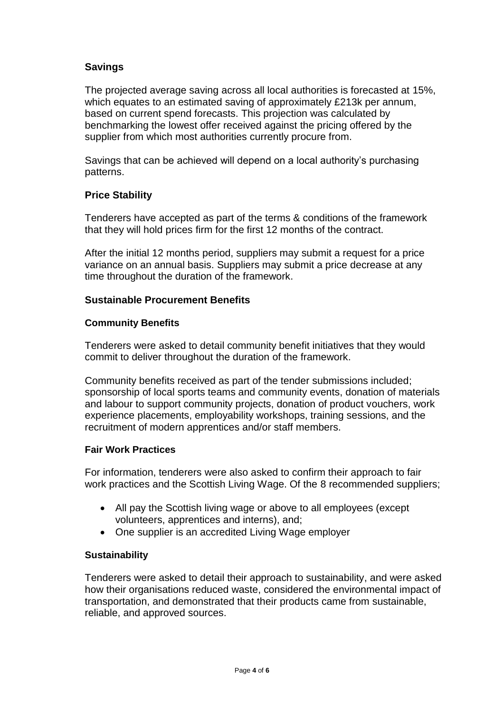# **Savings**

The projected average saving across all local authorities is forecasted at 15%, which equates to an estimated saving of approximately £213k per annum, based on current spend forecasts. This projection was calculated by benchmarking the lowest offer received against the pricing offered by the supplier from which most authorities currently procure from.

Savings that can be achieved will depend on a local authority's purchasing patterns.

# **Price Stability**

Tenderers have accepted as part of the terms & conditions of the framework that they will hold prices firm for the first 12 months of the contract.

After the initial 12 months period, suppliers may submit a request for a price variance on an annual basis. Suppliers may submit a price decrease at any time throughout the duration of the framework.

## **Sustainable Procurement Benefits**

## **Community Benefits**

Tenderers were asked to detail community benefit initiatives that they would commit to deliver throughout the duration of the framework.

Community benefits received as part of the tender submissions included; sponsorship of local sports teams and community events, donation of materials and labour to support community projects, donation of product vouchers, work experience placements, employability workshops, training sessions, and the recruitment of modern apprentices and/or staff members.

## **Fair Work Practices**

For information, tenderers were also asked to confirm their approach to fair work practices and the Scottish Living Wage. Of the 8 recommended suppliers;

- All pay the Scottish living wage or above to all employees (except volunteers, apprentices and interns), and;
- One supplier is an accredited Living Wage employer

## **Sustainability**

Tenderers were asked to detail their approach to sustainability, and were asked how their organisations reduced waste, considered the environmental impact of transportation, and demonstrated that their products came from sustainable, reliable, and approved sources.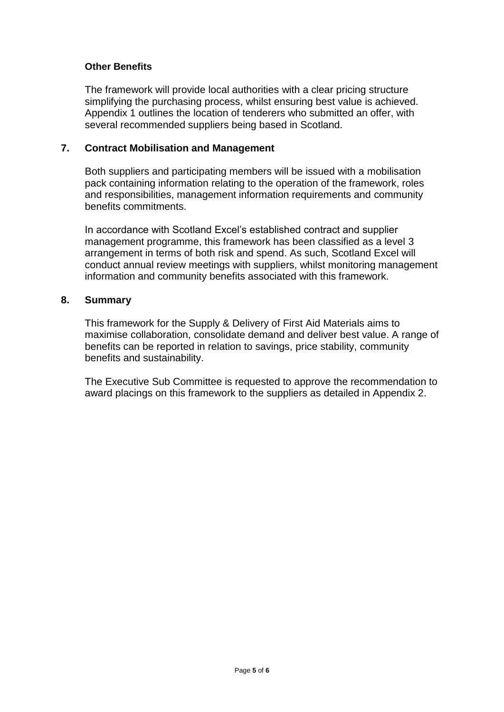## **Other Benefits**

The framework will provide local authorities with a clear pricing structure simplifying the purchasing process, whilst ensuring best value is achieved. Appendix 1 outlines the location of tenderers who submitted an offer, with several recommended suppliers being based in Scotland.

#### **7. Contract Mobilisation and Management**

Both suppliers and participating members will be issued with a mobilisation pack containing information relating to the operation of the framework, roles and responsibilities, management information requirements and community benefits commitments.

In accordance with Scotland Excel's established contract and supplier management programme, this framework has been classified as a level 3 arrangement in terms of both risk and spend. As such, Scotland Excel will conduct annual review meetings with suppliers, whilst monitoring management information and community benefits associated with this framework.

#### **8. Summary**

This framework for the Supply & Delivery of First Aid Materials aims to maximise collaboration, consolidate demand and deliver best value. A range of benefits can be reported in relation to savings, price stability, community benefits and sustainability.

The Executive Sub Committee is requested to approve the recommendation to award placings on this framework to the suppliers as detailed in Appendix 2.